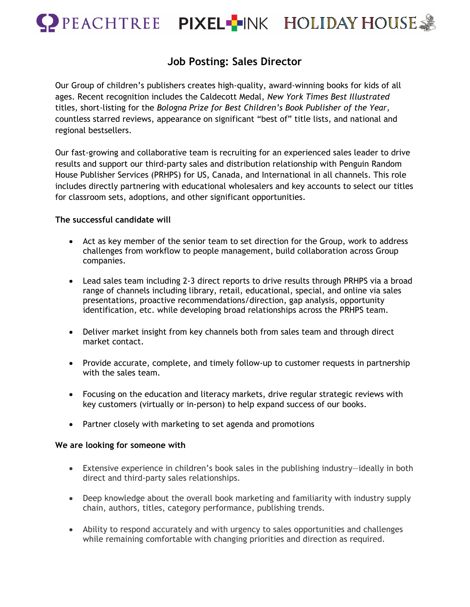

## **Job Posting: Sales Director**

Our Group of children's publishers creates high-quality, award-winning books for kids of all ages. Recent recognition includes the Caldecott Medal, *New York Times Best Illustrated* titles, short-listing for the *Bologna Prize for Best Children's Book Publisher of the Year,*  countless starred reviews, appearance on significant "best of" title lists, and national and regional bestsellers.

Our fast-growing and collaborative team is recruiting for an experienced sales leader to drive results and support our third-party sales and distribution relationship with Penguin Random House Publisher Services (PRHPS) for US, Canada, and International in all channels. This role includes directly partnering with educational wholesalers and key accounts to select our titles for classroom sets, adoptions, and other significant opportunities.

## **The successful candidate will**

- Act as key member of the senior team to set direction for the Group, work to address challenges from workflow to people management, build collaboration across Group companies.
- Lead sales team including 2-3 direct reports to drive results through PRHPS via a broad range of channels including library, retail, educational, special, and online via sales presentations, proactive recommendations/direction, gap analysis, opportunity identification, etc. while developing broad relationships across the PRHPS team.
- Deliver market insight from key channels both from sales team and through direct market contact.
- Provide accurate, complete, and timely follow-up to customer requests in partnership with the sales team.
- Focusing on the education and literacy markets, drive regular strategic reviews with key customers (virtually or in-person) to help expand success of our books.
- Partner closely with marketing to set agenda and promotions

## **We are looking for someone with**

- Extensive experience in children's book sales in the publishing industry—ideally in both direct and third-party sales relationships.
- Deep knowledge about the overall book marketing and familiarity with industry supply chain, authors, titles, category performance, publishing trends.
- Ability to respond accurately and with urgency to sales opportunities and challenges while remaining comfortable with changing priorities and direction as required.